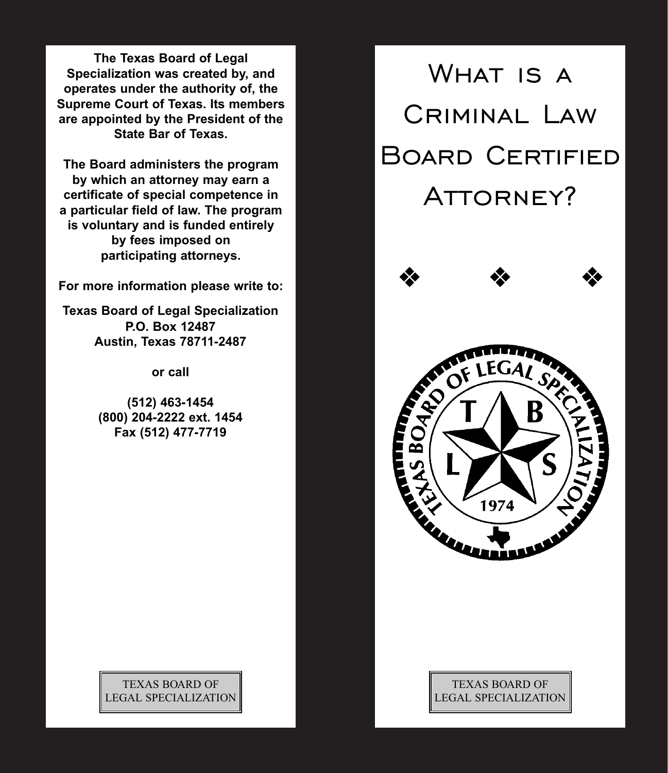**The Texas Board of Legal Specialization was created by, and operates under the authority of, the Supreme Court of Texas. Its members are appointed by the President of the State Bar of Texas.**

**The Board administers the program by which an attorney may earn a certificate of special competence in a particular field of law. The program is voluntary and is funded entirely by fees imposed on participating attorneys.**

**For more information please write to:**

**Texas Board of Legal Specialization P.O. Box 12487 Austin, Texas 78711-2487**

**or call**

**(512) 463-1454 (800) 204-2222 ext. 1454 Fax (512) 477-7719**



## TEXAS BOARD OF LEGAL SPECIALIZATION

TEXAS BOARD OF LEGAL SPECIALIZATION